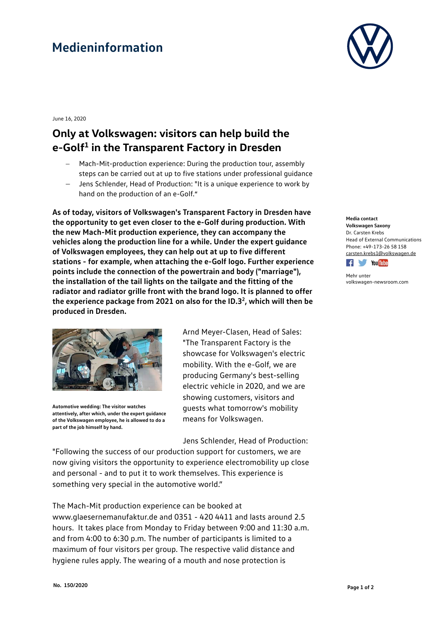# **Medieninformation**



June 16, 2020

### **Only at Volkswagen: visitors can help build the e-Golf1 in the Transparent Factory in Dresden**

- − Mach-Mit-production experience: During the production tour, assembly steps can be carried out at up to five stations under professional guidance
- − Jens Schlender, Head of Production: "It is a unique experience to work by hand on the production of an e-Golf."

**As of today, visitors of Volkswagen's Transparent Factory in Dresden have the opportunity to get even closer to the e-Golf during production. With the new Mach-Mit production experience, they can accompany the vehicles along the production line for a while. Under the expert guidance of Volkswagen employees, they can help out at up to five different stations - for example, when attaching the e-Golf logo. Further experience points include the connection of the powertrain and body ("marriage"), the installation of the tail lights on the tailgate and the fitting of the radiator and radiator grille front with the brand logo. It is planned to offer**  the experience package from 2021 on also for the ID.3<sup>2</sup>, which will then be **produced in Dresden.**



**Automotive wedding: The visitor watches attentively, after which, under the expert guidance of the Volkswagen employee, he is allowed to do a part of the job himself by hand.**

Arnd Meyer-Clasen, Head of Sales: "The Transparent Factory is the showcase for Volkswagen's electric mobility. With the e-Golf, we are producing Germany's best-selling electric vehicle in 2020, and we are showing customers, visitors and guests what tomorrow's mobility means for Volkswagen.

Jens Schlender, Head of Production:

"Following the success of our production support for customers, we are now giving visitors the opportunity to experience electromobility up close and personal - and to put it to work themselves. This experience is something very special in the automotive world."

The Mach-Mit production experience can be booked at www.glaesernemanufaktur.de and 0351 - 420 4411 and lasts around 2.5 hours. It takes place from Monday to Friday between 9:00 and 11:30 a.m. and from 4:00 to 6:30 p.m. The number of participants is limited to a maximum of four visitors per group. The respective valid distance and hygiene rules apply. The wearing of a mouth and nose protection is

#### **Media contact Volkswagen Saxony**  Dr. Carsten Krebs Head of External Communications Phone: +49-173-26 58 158 [carsten.krebs1@volkswagen.de](mailto:carsten.krebs1@volkswagen.de)



Mehr unter [volkswagen-newsroom.com](https://www.volkswagen-media-services.com/)